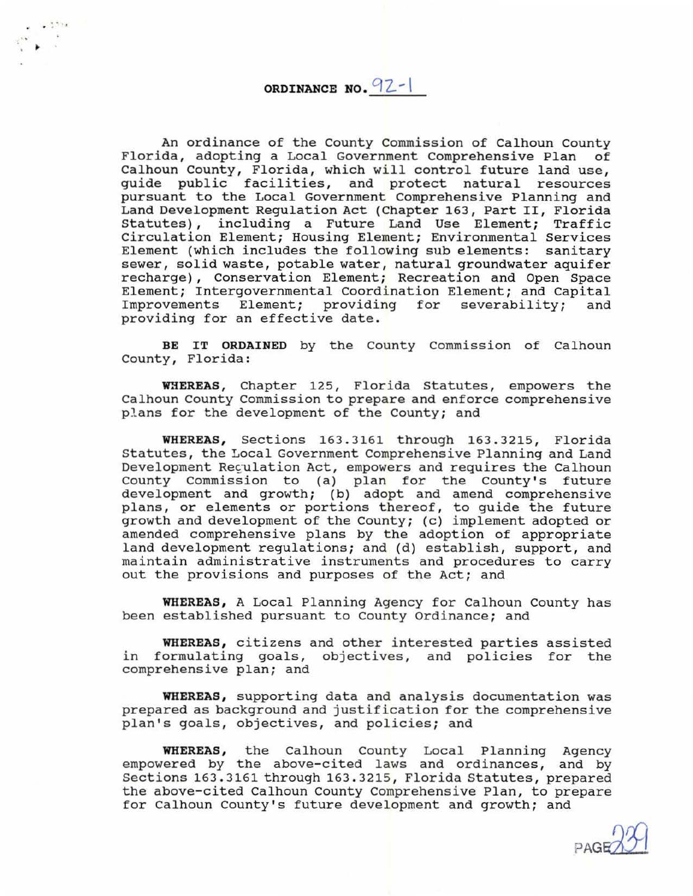**ORDINANCE NO. 92-1** 

 $. . . . . . .$ 

An ordinance of the County Commission of Calhoun County Florida, adopting a Local Government Comprehensive Plan of Calhoun County, Florida, which will control future land use, edingen councy, rightal, which will concret facile fand use,<br>guide public facilities, and protect natural resources pursuant to the Local Government Comprehensive Planning and Land Development Regulation Act (Chapter 163, Part II, Florida Statutes), including a Future Land Use Element; Traffic Circulation Element; Housing Element; Environmental Services Element (which includes the following sub elements: sanitary sewer, solid waste, potable water, natural groundwater aquifer recharge), Conservation Element; Recreation and Open Space Element; Intergovernmental Coordination Element; and Capital<br>Improvements Element; providing for severability; and providing for severability; and providing for an effective date.

**BE IT ORDAINED** by the County Commission of Calhoun County, Florida:

WHEREAS, Chapter 125, Florida Statutes, empowers the Calhoun County Commission to prepare and enforce comprehensive plans for the development of the County; and

**WHEREAS,** Sections 163.3161 through 163 .3215, Florida Statutes, the Local Government Comprehensive Planning and Land Development Reculation Act, empowers and requires the Calhoun County Commission to (a) plan for the County's future development and growth; (b) adopt and amend comprehensive plans, or elements or portions thereof, to guide the future growth and development of the County; (c) implement adopted or amended comprehensive plans by the adoption of appropriate land development regulations; and (d) establish, support, and maintain administrative instruments and procedures to carry out the provisions and purposes of the Act; and

**WHEREAS ,** A Local Planning Agency for Calhoun County has been established pursuant to County Ordinance; and

**WHEREAS,** citizens and other interested parties assisted in formulating goals, objectives, and policies for the comprehensive plan; and

**WHEREAS,** supporting data and analysis documentation was prepared as background and justification for the comprehensive plan's goals, objectives, and policies; and

**WHEREAS,** the Calhoun County Local Planning Agency empowered by the above-cited laws and ordinances, and by Sections 163.3161 through 163.3215, Florida Statutes, prepared the above-cited Calhoun County Comprehensive Plan, to prepare for Calhoun County's future development and growth; and

PAGE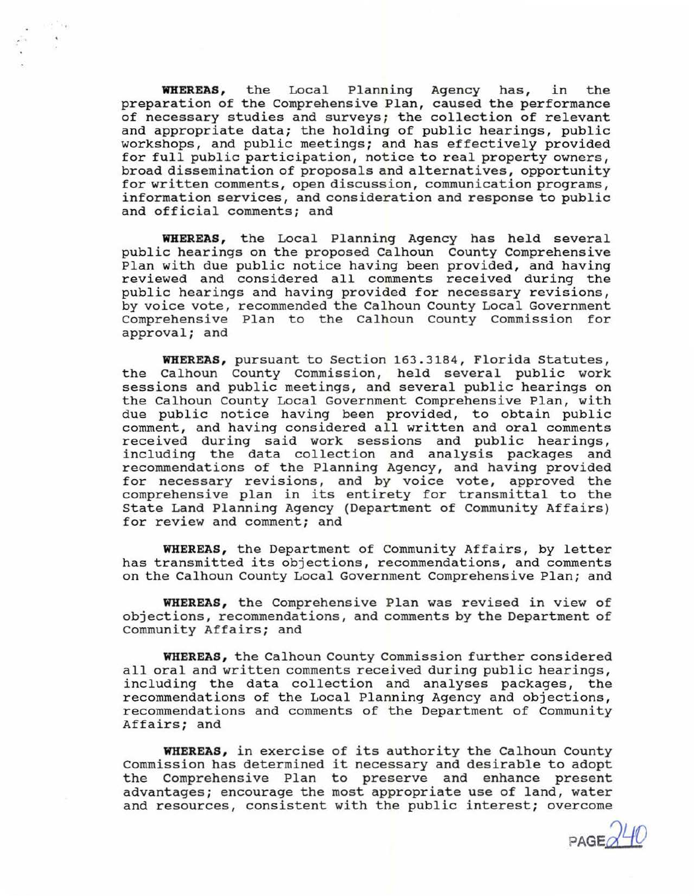**WHEREAS,** the Local Planning Agency has, in the preparation of the Comprehensive Plan, caused the performance of necessary studies and surveys; the collection of relevant and appropriate data; the holding of public hearings, public workshops, and public meetings; and has effectively provided for full public participation, notice to real property owners, broad dissemination of proposals and alternatives, opportunity for written comments, open discussion, communication programs, information services, and consideration and response to public and official comments; and

**WHEREAS,** the Local Planning Agency has held several public hearings on the proposed Calhoun County Comprehensive Plan with due public notice having been provided, and having reviewed and considered all comments received during the public hearings and having provided for necessary revisions, by voice vote, recommended the Calhoun County Local Government Comprehensive Plan to the Calhoun County Commission for approval; and

**WHEREAS,** pursuant to Section 163.3184, Florida Statutes, the Calhoun County Commission, held several public work sessions and public meetings, and several public hearings on the Calhoun County Local Government comprehensive Plan, with due public notice having been provided, to obtain public comment, and having considered all written and oral comments received during said work sessions and public hearings, including the data collection and analysis packages and recommendations of the Planning Agency, and having provided for necessary revisions, and by voice vote, approved the comprehensive plan in its entirety for transmittal to the State Land Planning Agency (Department of Community Affairs) for review and comment; and

**WHEREAS,** the Department of Community Affairs, by letter has transmitted its objections, recommendations, and comments on the Calhoun County Local Government Comprehensive Plan; and

WHEREAS, the Comprehensive Plan was revised in view of objections, recommendations, and comments by the Department of Community Affairs; and

**WHEREAS,** the Calhoun County Commission further considered all oral and written comments received during public hearings, including the data collection and analyses packages, the recommendations of the Local Planning Agency and objections, recommendations and comments of the Department of Community Affairs; and

**WHEREAS,** in exercise of its authority the Calhoun County Commission has determined it necessary and desirable to adopt the Comprehensive Plan to preserve and enhance present advantages; encourage the most appropriate use of land, water and resources, consistent with the public interest; overcome

PAGE $d$ <sup>40</sup>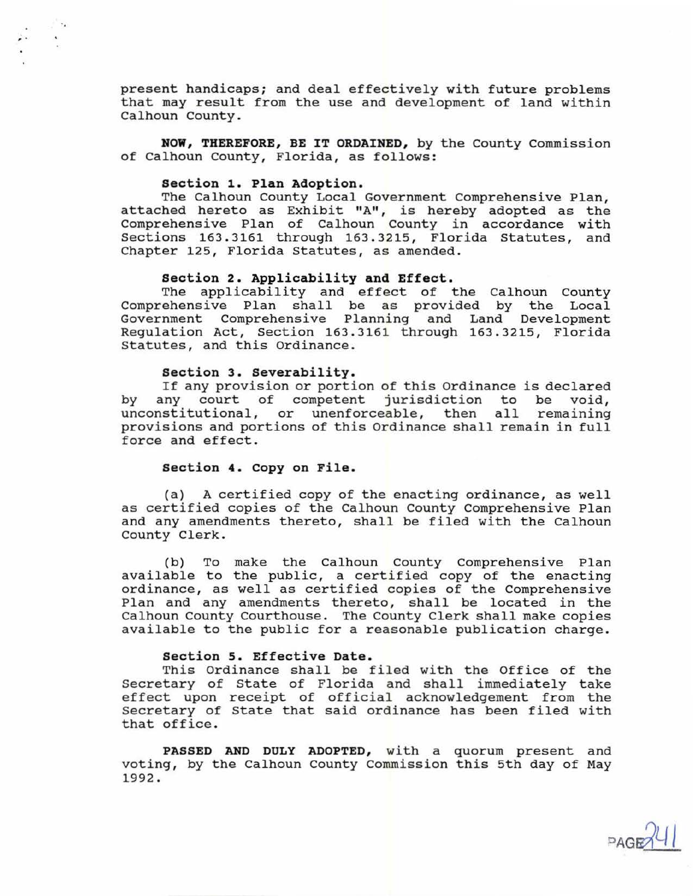present handicaps; and deal effectively with future problems that may result from the use and development of land within Calhoun County .

**NOW, THEREFORE, BE IT ORDAINED, by the County Commission** of Calhoun County, Florida, as follows:

#### **section 1. Plan Adoption.**

, .

The Calhoun County Local Government Comprehensive Plan, attached hereto as Exhibit "A", is hereby adopted as the Comprehensive Plan of Calhoun County in accordance with Sections 163.3161 through 163.3215, Florida Statutes, and Chapter 125, Florida Statutes, as amended.

#### **Section 2. Applicability and Effect.**

The applicability and effect of the Calhoun County Comprehensive Plan shall be as provided by the Local Government Comprehensive Planning and Land Development Regulation Act, Section 163.3161 through 163.3215, Florida Statutes, and this Ordinance .

## **Section 3. severability.**

If any provision or portion of this Ordinance is declared by any court of competent jurisdiction to be void, unconstitutional, or unenforceable, then all remaining provisions and portions of this Ordinance shall remain in full force and effect.

## **section 4 . Copy on File.**

(a) A certified copy of the enacting ordinance, as well as certified copies of the Calhoun county Comprehensive Plan and any amendments thereto, shall be filed with the Calhoun County Clerk .

(b) To make the Calhoun County Comprehensive Plan available to the public, a certified copy of the enacting ordinance, as well as certified copies of the Comprehensive Plan and any amendments thereto, shall be located in the Calhoun County Courthouse. The County Clerk shall make copies available to the public for a reasonable publication charge.

# **section 5. Effective Date.**

This Ordinance shall be filed with the Office of the Secretary of State of Florida and shall immediately take becreasing of beace of ficinal and shaft finalizering take Secretary of State that said ordinance has been filed with that office.

**PASSED AND DULY ADOPTED,** with a quorum present and voting, by the Calhoun County Commission this 5th day of May 1992.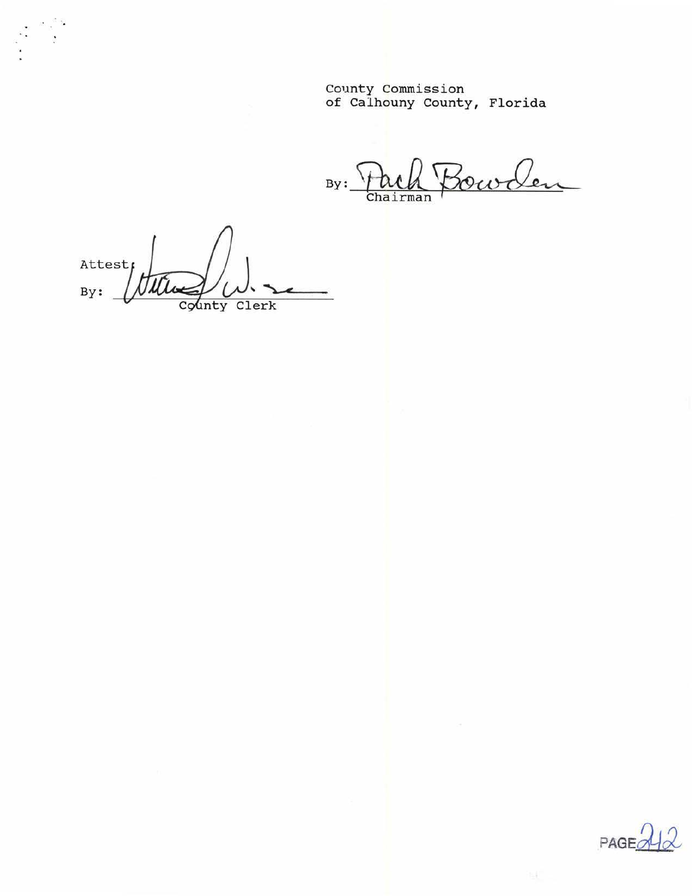County Commission of Calhouny County, Florida

By: Fack Bowler

Attest the  $By:$ County Clerk